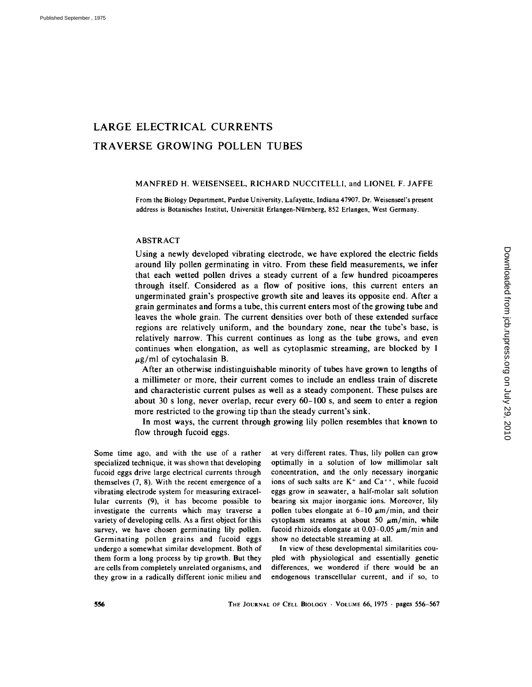# LARGE ELECTRICAL CURRENTS TRAVERSE GROWING POLLEN TUBES

# MANFRED H. WEISENSEEL, RICHARD NUCCITELLI, and LIONEL F. JAFFE

From the Biology Department, Purdue University, Lafayette, Indiana 47907. Dr. Weisenseel's present address is Botanisches Institut, Universität Erlangen-Nürnberg, 852 Erlangen, West Germany.

# ABSTRACT

Using a newly developed vibrating electrode, we have explored the electric fields around lily pollen germinating in vitro. From these field measurements, we infer that each wetted pollen drives a steady current of a few hundred picoamperes through itself. Considered as a flow of positive ions, this current enters an ungerminated grain's prospective growth site and leaves its opposite end. After a grain germinates and forms a tube, this current enters most of the growing tube and leaves the whole grain. The current densities over both of these extended surface regions are relatively uniform, and the boundary zone, near the tube's base, is relatively narrow. This current continues as long as the tube grows, and even continues when elongation, as well as cytoplasmic streaming, are blocked by 1  $\mu$ g/ml of cytochalasin B.

After an otherwise indistinguishable minority of tubes have grown to lengths of a millimeter or more, their current comes to include an endless train of discrete and characteristic current pulses as well as a steady component. These pulses are about 30 s long, never overlap, recur every 60-100 s, and seem to enter a region more restricted to the growing tip than the steady current's sink.

In most ways, the current through growing lily pollen resembles that known to flow through fucoid eggs.

Some time ago, and with the use of a rather specialized technique, it was shown that developing fucoid eggs drive large electrical currents through themselves (7, 8). With the recent emergence of a vibrating electrode system for measuring extracellular currents (9), it has become possible to investigate the currents which may traverse a variety of developing cells. As a first object for this survey, we have chosen germinating lily pollen. Germinating pollen grains and fucoid eggs undergo a somewhat similar development. Both of them form a long process by tip growth. But they are cells from completely unrelated organisms, and they grow in a radically different ionic milieu and at very different rates. Thus, lily pollen can grow optimally in a solution of low millimolar salt concentration, and the only necessary inorganic ions of such salts are  $K^+$  and  $Ca^{++}$ , while fucoid eggs grow in seawater, a half-molar salt solution bearing six major inorganic ions. Moreover, lily pollen tubes elongate at  $6-10 \mu m/min$ , and their cytoplasm streams at about 50  $\mu$ m/min, while fucoid rhizoids elongate at  $0.03-0.05 \mu m/min$  and show no detectable streaming at all.

In view of these developmental similarities coupled with physiological and essentially genetic differences, we wondered if there would be an endogenous transcellular current, and if so, to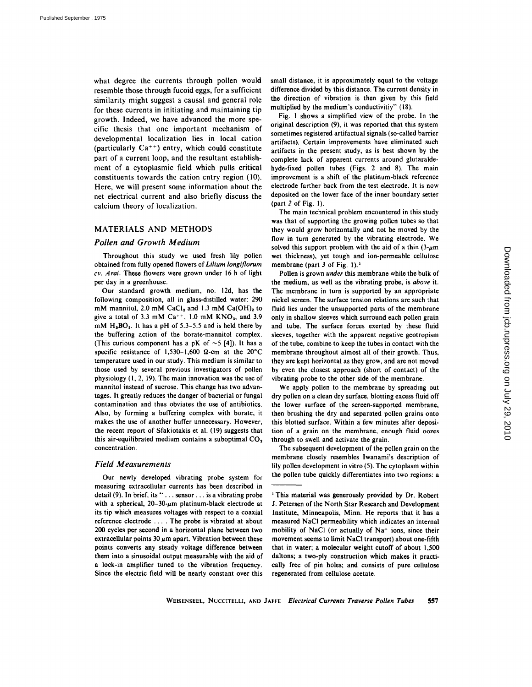what degree the currents through pollen would resemble those through fucoid eggs, for a sufficient similarity might suggest a causal and general role for these currents in initiating and maintaining tip growth. Indeed, we have advanced the more specific thesis that one important mechanism of developmental localization lies in local cation (particularly  $Ca^{++}$ ) entry, which could constitute part of a current loop, and the resultant establishment of a cytoplasmic field which pulls critical constituents towards the cation entry region (10). Here, we will present some information about the net electrical current and also briefly discuss the calcium theory of localization.

# MATERIALS AND METHODS

# *Pollen and Growth Medium*

Throughout this study we used fresh lily pollen obtained from fully opened flowers of *Lilium longiflorum cv. Arai.* These flowers were grown under 16 h of light per day in a greenhouse.

Our standard growth medium, no. 12d, has the following composition, all in glass-distilled water: 290 mM mannitol, 2.0 mM CaCl<sub>2</sub> and 1.3 mM Ca(OH)<sub>2</sub> to give a total of 3.3 mM  $Ca^{++}$ , 1.0 mM  $KNO<sub>3</sub>$ , and 3.9  $mM$  H<sub>a</sub>BO<sub>s</sub>. It has a pH of 5.3-5.5 and is held there by the buffering action of the borate-mannitol complex. (This curious component has a pK of  $\sim$  5 [4]). It has a specific resistance of 1,530-1,600  $\Omega$ -cm at the 20°C temperature used in our study. This medium is similar to those used by several previous investigators of pollen physiology (1, 2, 19). The main innovation was the use of mannitol instead of sucrose. This change has two advantages. It greatly reduces the danger of bacterial or fungal contamination and thus obviates the use of antibiotics. Also, by forming a buffering complex with borate, it makes the use of another buffer unnecessary. However, the recent report of Sfakiotakis et al. (19) suggests that this air-equilibrated medium contains a suboptimal  $CO<sub>2</sub>$ concentration.

# *Field Measurements*

Our newly developed vibrating probe system for measuring extracellular currents has been described in detail (9). In brief, its "... sensor.., is a vibrating probe with a spherical,  $20-30$ - $\mu$ m platinum-black electrode at its tip which measures voltages with respect to a coaxial reference electrode .... The probe is vibrated at about 200 cycles per second in a horizontal plane between two extracellular points  $30 \mu m$  apart. Vibration between these points converts any steady voltage difference between them into a sinusoidal output measurable with the aid of a lock-in amplifier tuned to the vibration frequency. Since the electric field will be nearly constant over this

small distance, it is approximately equal to the voltage difference divided by this distance. The current density in the direction of vibration is then given by this field multiplied by the medium's conductivitiy" (18).

Fig. 1 shows a simplified view of the probe. In the original description (9), it was reported that this system sometimes registered artifactual signals (so-called barrier artifacts). Certain improvements have eliminated such artifacts in the present study, as is best shown by the complete lack of apparent currents around glutaraldehyde-fixed pollen tubes (Figs. 2 and 8). The main improvement is a shift of the platinum-black reference electrode farther back from the test electrode. It is now deposited on the lower face of the inner boundary setter (part 2 of Fig. 1).

The main technical problem encountered in this study was that of supporting the growing pollen tubes so that they would grow horizontally and not be moved by the flow in turn generated by the vibrating electrode. We solved this support problem with the aid of a thin  $(3-\mu m)$ wet thickness), yet tough and ion-permeable cellulose membrane (part 3 of Fig. 1).<sup>1</sup>

Pollen is grown *under* this membrane while the bulk of the medium, as well as the vibrating probe, is *above* it. The membrane in turn is supported by an appropriate nickel screen. The surface tension relations are such that fluid lies under the unsupported parts of the membrane only in shallow sleeves which surround each pollen grain and tube. The surface forces exerted by these fluid sleeves, together with the apparent negative geotropism of the tube, combine to keep the tubes in contact with the membrane throughout almost all of their growth. Thus, they are kept horizontal as they grow, and are not moved by even the closest approach (short of contact) of the vibrating probe to the other side of the membrane.

We apply pollen to the membrane by spreading out dry pollen on a clean dry surface, blotting excess fluid off the lower surface of the screen-supported membrane, then brushing the dry and separated pollen grains onto this blotted surface. Within a few minutes after deposition of a grain on the membrane, enough fluid oozes through to swell and activate the grain.

The subsequent development of the pollen grain on the membrane closely resembles Iwanami's description of lily pollen development in vitro (5). The cytoplasm within the pollen tube quickly differentiates into two regions: a

<sup>&</sup>lt;sup>1</sup> This material was generously provided by Dr. Robert J. Petersen of the North Star Research and Development Institute, Minneapolis, **Minn. He** reports that it has **a**  measured NaCI permeability which indicates an internal mobility of NaCl (or actually of Na<sup>+</sup> ions, since their movement seems to limit NaCI transport) about one-fifth that in water; a molecular weight cutoff of about 1,500 daltons; a two-ply construction which makes it practically free of pin holes; and consists of pure cellulose regenerated from cellulose acetate.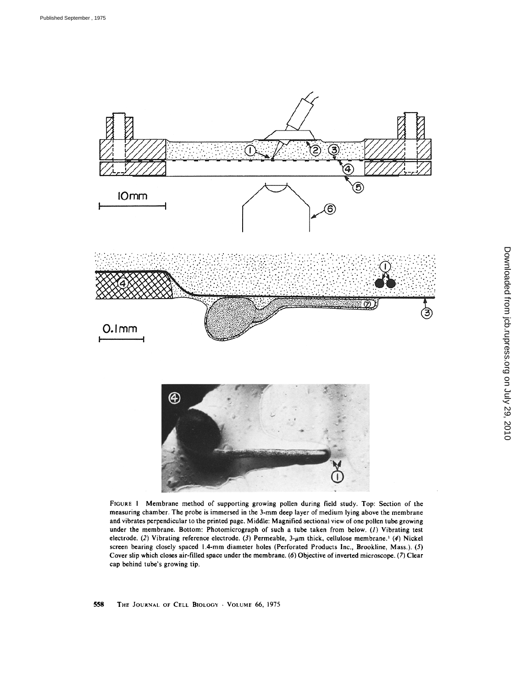

FIGURE 1 Membrane method of supporting growing pollen during field study. Top: Section of the measuring chamber, The probe is immersed in the 3-mm deep layer of medium lying above the membrane and vibrates perpendicular to the printed page. Middle: Magnified sectional view of one pollen tube growing under the membrane. Bottom: Photomicrograph of such a tube taken from below. (1) Vibrating test electrode. (2) Vibrating reference electrode. (3) Permeable,  $3-\mu m$  thick, cellulose membrane.<sup>1</sup> (4) Nickel screen bearing closely spaced 1.4-mm diameter holes (Perforated Products Inc., Brookline, Mass.). (5) Cover slip which closes air-filled space under the membrane. (6) Objective of inverted microscope. (7) Clear cap behind tube's growing tip.

558 THE JOURNAL OF CELL BIOLOGY . VOLUME 66, 1975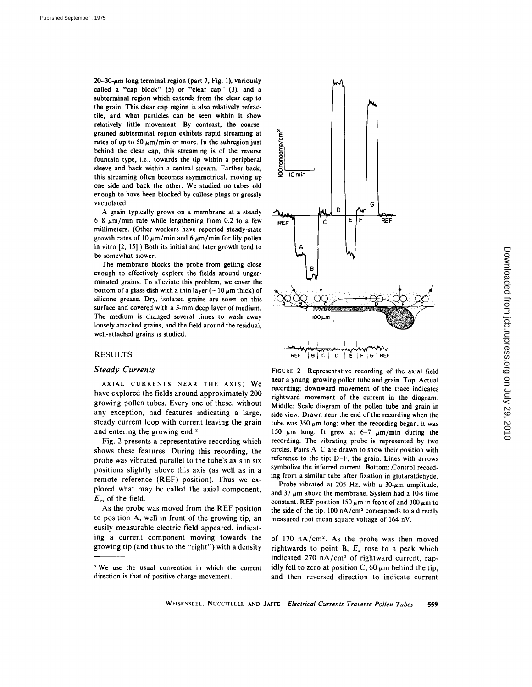$20-30$ -um long terminal region (part 7, Fig. 1), variously called a "cap block" (5) or "clear cap" (3), and a subterminal region which extends from the clear cap to the grain. This clear cap region is also relatively refractile, and what particles can be seen within it show relatively little movement. By contrast, the coarsegrained subterminal region exhibits rapid streaming at rates of up to 50  $\mu$ m/min or more. In the subregion just behind the clear cap, this streaming is of the reverse fountain type, i.e., towards the tip within a peripheral sleeve and back within a central stream. Farther back, this streaming often becomes asymmetrical, moving up one side and back the other. We studied no tubes old enough to have been blocked by callose plugs or grossly vacuolated.

A grain typically grows on a membrane at a steady 6-8  $\mu$ m/min rate while lengthening from 0.2 to a few millimeters. (Other workers have reported steady-state growth rates of 10  $\mu$ m/min and 6  $\mu$ m/min for lily pollen in vitro [2, 15].) Both its initial and later growth tend to be somewhat slower.

The membrane blocks the probe from getting close enough to effectively explore the fields around ungerminated grains. To alleviate this problem, we cover the bottom of a glass dish with a thin layer ( $\sim$  10  $\mu$ m thick) of silicone grease. Dry, isolated grains are sown on this surface and covered with a 3-mm deep layer of medium. The medium is changed several times to wash away loosely attached grains, and the field around the residual, well-attached grains is studied.

### **RESULTS**

#### *Steady Currents*

AXIAL CURRENTS NEAR THE AXIS: We have explored the fields around approximately 200 growing pollen tubes. Every one of these, without any exception, had features indicating a large, steady current loop with current leaving the grain and entering the growing end.<sup>2</sup>

Fig. 2 presents a representative recording which shows these features. During this recording, the probe was vibrated parallel to the tube's axis in six positions slightly above this axis (as well as in a remote reference (REF) position). Thus we explored what may be called the axial component,  $E_z$ , of the field.

As the probe was moved from the REF position to position A, well in front of the growing tip, an easily measurable electric field appeared, indicating a current component moving towards the growing tip (and thus to the "right") with a density



FIGURE 2 Representative recording of the axial field near a young, growing pollen tube and grain. Top: Actual recording; downward movement of the trace indicates rightward movement of the current in the diagram. Middle: Scale diagram of the pollen tube and grain in side view. Drawn near the end of the recording when the tube was 350  $\mu$ m long; when the recording began, it was 150  $\mu$ m long. It grew at 6-7  $\mu$ m/min during the recording. The vibrating probe is represented by two circles. Pairs A-C are drawn to show their position with reference to the tip; D-F, the grain. Lines with arrows symbolize the inferred current. Bottom: Control recording from a similar tube after fixation in glutaraldehyde.

Probe vibrated at 205 Hz, with a  $30-\mu m$  amplitude, and 37  $\mu$ m above the membrane. System had a 10-s time constant. REF position 150  $\mu$ m in front of and 300  $\mu$ m to the side of the tip. 100 nA/cm<sup>2</sup> corresponds to a directly measured root mean square voltage of 164 nV.

of  $170 \text{ nA/cm}^2$ . As the probe was then moved rightwards to point B,  $E_z$  rose to a peak which indicated 270  $nA/cm^2$  of rightward current, rapidly fell to zero at position C, 60  $\mu$ m behind the tip, and then reversed direction to indicate current

<sup>&</sup>lt;sup>2</sup> We use the usual convention in which the current direction is that of positive charge movement.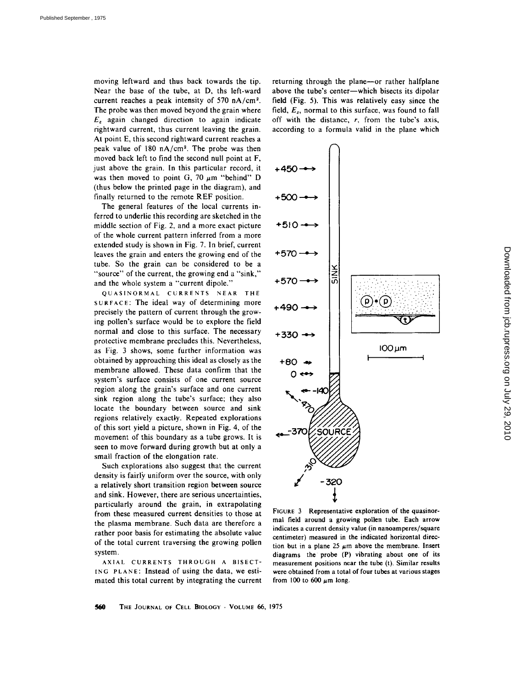moving leftward and thus back towards the tip. Near the base of the tube, at D, ths left-ward current reaches a peak intensity of 570 nA/cm<sup>2</sup>. The probe was then moved beyond the grain where  $E_z$  again changed direction to again indicate rightward current, thus current leaving the grain. At point E, this second rightward current reaches a peak value of  $180 \text{ nA/cm}^2$ . The probe was then moved back left to find the second null point at F, just above the grain. In this particular record, it was then moved to point G, 70  $\mu$ m "behind" D (thus below the printed page in the diagram), and finally returned to the remote REF position.

The general features of the local currents inferred to underlie this recording are sketched in the middle section of Fig. 2, and a more exact picture of the whole current pattern inferred from a more extended study is shown in Fig. 7. In brief, current leaves the grain and enters the growing end of the tube. So the grain can be considered to be a "source" of the current, the growing end a "sink," and the whole system a "current dipole."

QUASINORMAL CURRENTS NEAR THE SURFACE: The ideal way of determining more precisely the pattern of current through the growing pollen's surface would be to explore the field normal and close to this surface. The necessary protective membrane precludes this. Nevertheless, as Fig. 3 shows, some further information was obtained by approaching this ideal as closely as the membrane allowed. These data confirm that the system's surface consists of one current source region along the grain's surface and one current sink region along the tube's surface; they also locate the boundary between source and sink regions relatively exactly. Repeated explorations of this sort yield a picture, shown in Fig. 4, of the movement of this boundary as a tube grows. It is seen to move forward during growth but at only a small fraction of the elongation rate.

Such explorations also suggest that the current density is fairly uniform over the source, with only a relatively short transition region between source and sink. However, there are serious uncertainties, particularly around the grain, in extrapolating from these measured current densities to those at the plasma membrane. Such data are therefore a rather poor basis for estimating the absolute value of the total current traversing the growing pollen system.

AXIAL CURRENTS THROUGH A BISECT-ING PLANE: Instead of using the data, we estimated this total current by integrating the current returning through the plane--or rather halfplane above the tube's center--which bisects its dipolar field (Fig. 5). This was relatively easy since the field,  $E_z$ , normal to this surface, was found to fall off with the distance, r, from the tube's axis, according to a formula valid in the plane which



FIGURE 3 Representative exploration of the quasinormal field around a growing pollen tube. Each arrow indicates a current density value (in nanoamperes/square centimeter) measured in the indicated horizontal direction but in a plane 25  $\mu$ m above the membrane. Insert diagrams the probe (P) vibrating about one of its measurement positions near the tube (t). Similar results were obtained from a total of four tubes at various stages from 100 to 600  $\mu$ m long.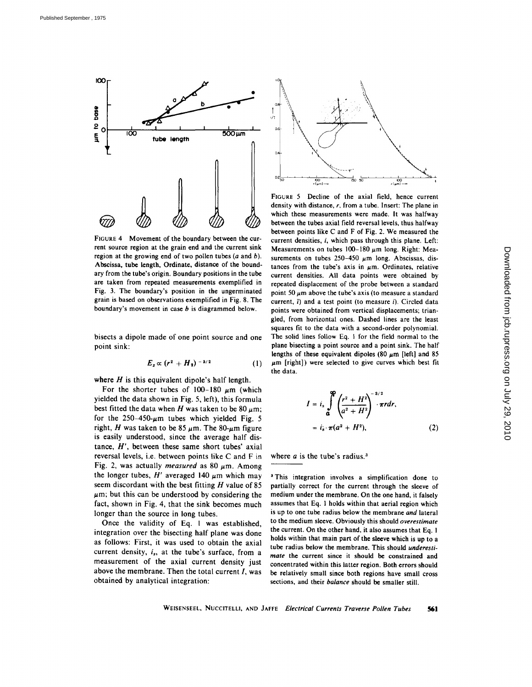

FIGURE 4 Movement of the boundary between the current source region at the grain end and the current sink region at the growing end of two pollen tubes  $(a \text{ and } b)$ . Abscissa, tube length, Ordinate, distance of the boundary from the tube's origin. Boundary positions in the tube are taken from repeated measurements exemplified in Fig. 3. The boundary's position in the ungerminated grain is based on observations exemplified in Fig. 8. The boundary's movement in case  $b$  is diagrammed below.

bisects a dipole made of one point source and one point sink:

$$
E_z \propto (r^2 + H_2)^{-3/2} \tag{1}
$$

where  $H$  is this equivalent dipole's half length.

For the shorter tubes of  $100-180 \mu m$  (which yielded the data shown in Fig. 5, left), this formula best fitted the data when H was taken to be 80  $\mu$ m; for the  $250-450$ - $\mu$ m tubes which yielded Fig. 5 right, H was taken to be 85  $\mu$ m. The 80- $\mu$ m figure is easily understood, since the average half distance,  $H'$ , between these same short tubes' axial reversal levels, i.e. between points like C and F in Fig. 2, was actually *measured* as 80  $\mu$ m. Among the longer tubes,  $H'$  averaged 140  $\mu$ m which may seem discordant with the best fitting  $H$  value of 85  $\mu$ m; but this can be understood by considering the fact, shown in Fig. 4, that the sink becomes much longer than the source in long tubes.

Once the validity of Eq. 1 was established, integration over the bisecting half plane was done as follows: First, it was used to obtain the axial current density,  $i_s$ , at the tube's surface, from a measurement of the axial current density just above the membrane. Then the total current  $I$ , was obtained by analytical integration:



FIGURE 5 Decline of the axial field, hence current density with distance, r, from a tube. Insert: The plane in which these measurements were made. It was halfway between the tubes axial field reversal levels, thus halfway between points like C and F of Fig. 2. We measured the current densities, i, which pass through this plane. Left: Measurements on tubes  $100-180 \mu m$  long. Right: Measurements on tubes  $250-450 \mu m$  long. Abscissas, distances from the tube's axis in  $\mu$ m. Ordinates, relative current densities. All data points were obtained by repeated displacement of the probe between a standard point 50  $\mu$ m above the tube's axis (to measure a standard current,  $i$ ) and a test point (to measure  $i$ ). Circled data points were obtained from vertical displacements; triangled, from horizontal ones. Dashed lines are the least squares fit to the data with a second-order polynomial. The solid lines follow Eq. 1 for the field normal to the plane bisecting a point source and a point sink. The half lengths of these equivalent dipoles (80  $\mu$ m [left] and 85  $\mu$ m [right]) were selected to give curves which best fit the data.

$$
I = is \int_{a}^{\infty} \left( \frac{r^2 + H^2}{a^2 + H^2} \right)^{-3/2} \cdot \pi r dr,
$$
  
=  $is \cdot \pi (a^2 + H^2),$  (2)

where  $a$  is the tube's radius.<sup>3</sup>

<sup>3</sup> This integration involves a simplification done to partially correct for the current through the sleeve of medium under the membrane. On the one hand, it falsely assumes that Eq. l holds within that aerial region which is up to one tube radius below the membrane *and* lateral to the medium sleeve. Obviously this should *overestimate*  the current. On the other hand, it also assumes that Eq. l holds within that main part of the sleeve which is up to a tube radius below the membrane. This should *underestimate* the current since it should be constrained and concentrated within this latter region. Both errors should be relatively small since both regions have small cross sections, and their *balance* should be smaller still.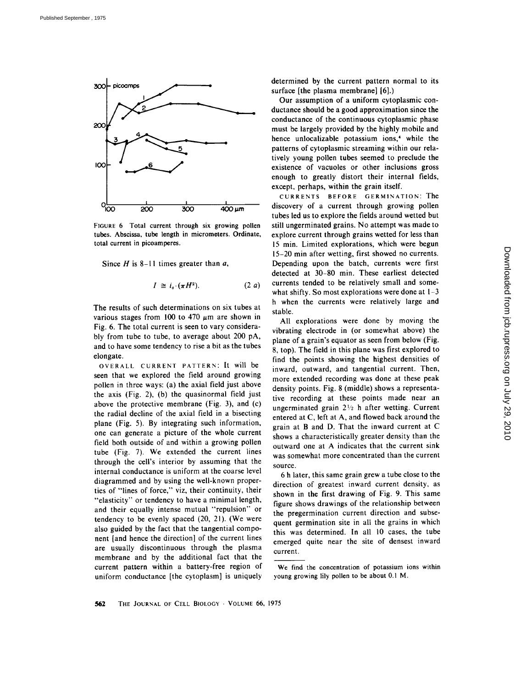

FIGURE 6 Total current through six growing pollen tubes. Abscissa, tube length in micrometers. Ordinate, total current in picoamperes.

Since  $H$  is 8-11 times greater than  $a$ ,

$$
I \cong i_s \cdot (\pi H^2). \qquad (2 \ a)
$$

The results of such determinations on six tubes at various stages from 100 to 470  $\mu$ m are shown in Fig. 6. The total current is seen to vary considerably from tube to tube, to average about 200 pA, and to have some tendency to rise a bit as the tubes elongate.

OVERALL CURRENT PATTERN: It will be seen that we explored the field around growing pollen in three ways: (a) the axial field just above the axis (Fig. 2), (b) the quasinormal field just above the protective membrane (Fig. 3), and (c) the radial decline of the axial field in a bisecting plane (Fig. 5). By integrating such information, one can generate a picture of the whole current field both outside of and within a growing pollen tube (Fig. 7). We extended the current lines through the cell's interior by assuming that the internal conductance is uniform at the coarse level diagrammed and by using the well-known properties of "lines of force," viz, their continuity, their "elasticity" or tendency to have a minimal length, and their equally intense mutual "'repulsion" or tendency to be evenly spaced (20, 21). (We were also guided by the fact that the tangential component [and hence the direction] of the current lines are usually discontinuous through the plasma membrane and by the additional fact that the current pattern within a battery-free region of uniform conductance [the cytoplasm] is uniquely

determined by the current pattern normal to its surface [the plasma membrane] [6].)

Our assumption of a uniform cytoplasmic conductance should be a good approximation since the conductance of the continuous cytoplasmic phase must be largely provided by the highly mobile and hence unlocalizable potassium ions,<sup>4</sup> while the patterns of cytoplasmic streaming within our relatively young pollen tubes seemed to preclude the existence of vacuoles or other inclusions gross enough to greatly distort their internal fields, except, perhaps, within the grain itself.

CURRENTS BEFORE GERMINATION: The discovery of a current through growing pollen tubes led us to explore the fields around wetted but still ungerminated grains. No attempt was made to explore current through grains wetted for less than 15 min. Limited explorations, which were begun 15-20 min after wetting, first showed no currents. Depending upon the batch, currents were first detected at 30-80 min. These earliest detected currents tended to be relatively small and somewhat shifty. So most explorations were done at  $1-3$ h when the currents were relatively large and stable.

All explorations were done by moving the vibrating electrode in (or somewhat above) the plane of a grain's equator as seen from below (Fig. 8, top). The field in this plane was first explored to find the points showing the highest densities of inward, outward, and tangential current. Then, more extended recording was done at these peak density points. Fig. 8 (middle) shows a representative recording at these points made near an ungerminated grain  $2\frac{1}{2}$  h after wetting. Current entered at C, left at A, and flowed back around the grain at B and D. That the inward current at C shows a characteristically greater density than the outward one at A indicates that the current sink was somewhat more concentrated than the current source.

6 h later, this same grain grew a tube close to the direction of greatest inward current density, as shown in the first drawing of Fig. 9. This same figure shows drawings of the relationship between the pregermination current direction and subsequent germination site in all the grains in which this was determined. In all 10 cases, the tube emerged quite near the site of densest inward current.

We find the concentration of potassium ions within young growing lily pollen to be about 0.1 M.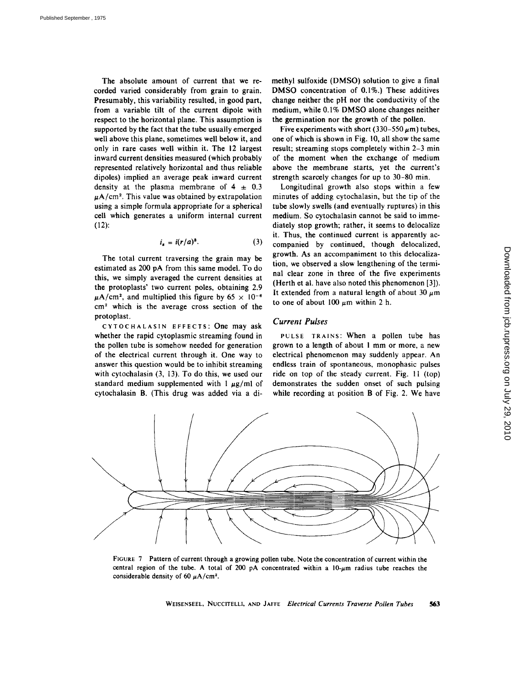The absolute amount of current that we recorded varied considerably from grain to grain. Presumably, this variability resulted, in good part, from a variable tilt of the current dipole with respect to the horizontal plane. This assumption is supported by the fact that the tube usually emerged well above this plane, sometimes well below it, and only in rare cases well within it. The 12 largest inward current densities measured (which probably represented relatively horizontal and thus reliable dipoles) implied an average peak inward current density at the plasma membrane of  $4 \pm 0.3$  $\mu$ A/cm<sup>2</sup>. This value was obtained by extrapolation using a simple formula appropriate for a spherical cell which generates a uniform internal current (12):

$$
i_s = i(r/a)^3. \tag{3}
$$

The total current traversing the grain may be estimated as 200 pA from this same model. To do this, we simply averaged the current densities at the protoplasts' two current poles, obtaining 2.9  $\mu$ A/cm<sup>2</sup>, and multiplied this figure by 65  $\times$  10<sup>-6</sup>  $cm<sup>2</sup>$  which is the average cross section of the protoplast.

CYTOCHALASIN EFFECTS: One may ask whether the rapid cytoplasmic streaming found in the pollen tube is somehow needed for generation of the electrical current through it. One way to answer this question would be to inhibit streaming with cytochalasin (3, 13). To do this, we used our standard medium supplemented with  $\frac{1}{4}$   $\mu$ g/ml of cytochalasin B. (This drug was added via a dimethyl sulfoxide (DMSO) solution to give a final DMSO concentration of 0.1%.) These additives change neither the pH nor the conductivity of the medium, while 0.1% DMSO alone changes neither the germination nor the growth of the pollen.

Five experiments with short (330–550  $\mu$ m) tubes, one of which is shown in Fig. 10, all show the same result; streaming stops completely within 2-3 min of the moment when the exchange of medium above the membrane starts, yet the current's strength scarcely changes for up to 30-80 min.

Longitudinal growth also stops within a few minutes of adding cytochalasin, but the tip of the tube slowly swells (and eventually ruptures) in this medium. So cytochalasin cannot be said to immediately stop growth; rather, it seems to delocalize it. Thus, the continued current is apparently accompanied by continued, though delocalized, growth. As an accompaniment to this delocalization, we observed a slow lengthening of the terminal clear zone in three of the five experiments (Herth et al. have also noted this phenomenon [3]). It extended from a natural length of about 30  $\mu$ m to one of about 100  $\mu$ m within 2 h.

# *Current Pulses*

PULSE TRAINS: When a pollen tube has grown to a length of about I mm or more, a new electrical phenomenon may suddenly appear. An endless train of spontaneous, monophasic pulses ride on top of the steady current. Fig. II (top) demonstrates the sudden onset of such pulsing while recording at position **B** of Fig. 2. We have



FIGURE 7 Pattern of current through a growing pollen tube. Note the concentration of current within the central region of the tube. A total of 200 pA concentrated within a  $10-\mu m$  radius tube reaches the considerable density of 60  $\mu$ A/cm<sup>2</sup>.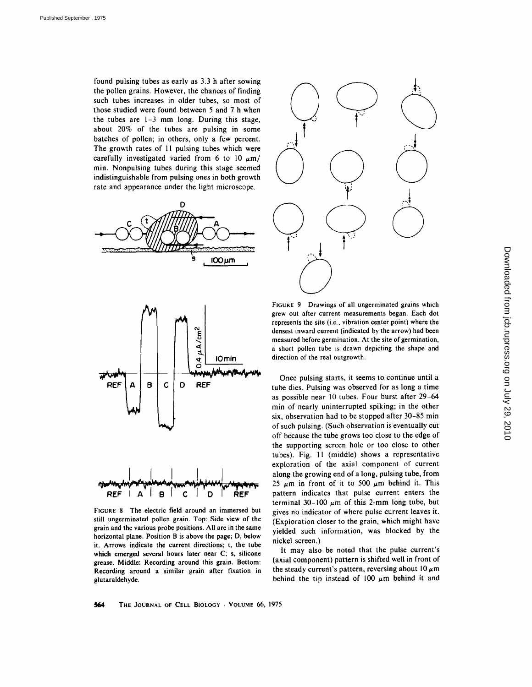found pulsing tubes as early as 3.3 h after sowing the pollen grains. However, the chances of finding such tubes increases in older tubes, so most of those studied were found between 5 and 7 h when the tubes are  $1-3$  mm long. During this stage, about 20% of the tubes are pulsing in some batches of pollen; in others, only a few percent. The growth rates of 11 pulsing tubes which were carefully investigated varied from 6 to 10  $\mu$ m/ min. Nonpulsing tubes during this stage seemed indistinguishable from pulsing ones in both growth rate and appearance under the light microscope.





FIGURE 8 The electric field around an immersed but still ungerminated pollen grain. Top: Side view of the grain and the various probe positions. All are in the same horizontal plane. Position B is above the page; D, below it. Arrows indicate the current directions; t, the tube which emerged several hours later near C; s, silicone grease. Middle: Recording around this grain. Bottom: Recording around a similar grain after fixation in glutaraldehyde.



FIGURE 9 Drawings of all ungerminated grains which grew out after current measurements began. Each dot represents the site (i.e., vibration center point) where the densest inward current (indicated by the arrow) had been measured before germination. At the site of germination, a short pollen tube is drawn depicting the shape and direction of the real outgrowth.

Once pulsing starts, it seems to continue until a tube dies. Pulsing was observed for as long a time as possible near 10 tubes. Four burst after 29-64 min of nearly uninterrupted spiking; in the other six, observation had to be stopped after 30-85 min of such pulsing. (Such observation is eventually cut off because the tube grows too close to the edge of the supporting screen hole or too close to other tubes). Fig. I1 (middle) shows a representative exploration of the axial component of current along the growing end of a long, pulsing tube, from 25  $\mu$ m in front of it to 500  $\mu$ m behind it. This pattern indicates that pulse current enters the terminal 30-100  $\mu$ m of this 2-mm long tube, but gives no indicator of where pulse current leaves it. (Exploration closer to the grain, which might have yielded such information, was blocked by the nickel screen.)

It may also be noted that the pulse current's (axial component) pattern is shifted well in front of the steady current's pattern, reversing about  $10 \mu m$ behind the tip instead of 100  $\mu$ m behind it and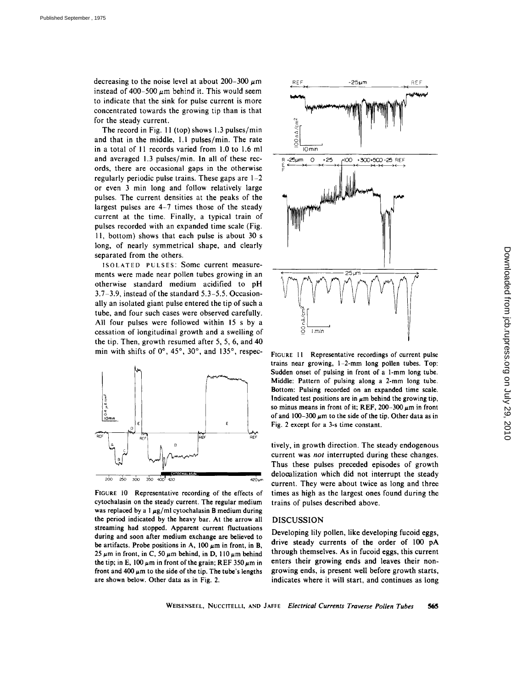decreasing to the noise level at about 200-300  $\mu$ m instead of 400-500  $\mu$ m behind it. This would seem to indicate that the sink for pulse current is more concentrated towards the growing tip than is that for the steady current.

The record in Fig. 11 (top) shows 1.3 pulses/min and that in the middle, 1.1 pulses/min. The rate in a total of 11 records varied from 1.0 to 1.6 ml and averaged 1.3 pulses/min. In all of these records, there are occasional gaps in the otherwise regularly periodic pulse trains. These gaps are  $1-2$ or even 3 min long and follow relatively large pulses. The current densities at the peaks of the largest pulses are 4-7 times those of the steady current at the time. Finally, a typical train of pulses recorded with an expanded time scale (Fig. l l, bottom) shows that each pulse is about 30 s long, of nearly symmetrical shape, and clearly separated from the others.

ISOLATED PULSES: Some current measurements were made near pollen tubes growing in an otherwise standard medium acidified to pH 3.7-3.9, instead of the standard 5.3-5.5. Occasionally an isolated giant pulse entered the tip of such a tube, and four such cases were observed carefully. All four pulses were followed within 15 s by a cessation of longitudinal growth and a swelling of the tip. Then, growth resumed after 5, 5, 6, and 40 min with shifts of  $0^\circ$ ,  $45^\circ$ ,  $30^\circ$ , and  $135^\circ$ , respec-



FIGURE 10 Representative recording of the effects of cytochalasin on the steady current. The regular medium was replaced by a  $1 \mu g/ml$  cytochalasin B medium during the period indicated by the heavy bar. At the arrow all streaming had stopped. Apparent current fluctuations during and soon after medium exchange are believed to be artifacts. Probe positions in A, 100  $\mu$ m in front, in B, 25  $\mu$ m in front, in C, 50  $\mu$ m behind, in D, 110  $\mu$ m behind the tip; in E, 100  $\mu$ m in front of the grain; REF 350  $\mu$ m in front and 400  $\mu$ m to the side of the tip. The tube's lengths are shown below. Other data as in Fig. 2.



FIGURE 11 Representative recordings of current pulse trains near growing, l-2-mm long pollen tubes. Top: Sudden onset of pulsing in front of a 1-mm long tube. Middle: Pattern of pulsing along a 2-mm long tube. Bottom: Pulsing recorded on an expanded time scale. Indicated test positions are in  $\mu$ m behind the growing tip, so minus means in front of it; REF,  $200-300 \mu m$  in front of and  $100-300 \mu m$  to the side of the tip. Other data as in Fig. 2 except for a 3-s time constant.

tively, in growth direction. The steady endogenous current was *not* interrupted during these changes. Thus these pulses preceded episodes of growth delooalization which did not interrupt the steady current. They were about twice as long and three times as high as the largest ones found during the trains of pulses described above.

# DISCUSSION

Developing lily pollen, like developing fucoid eggs, drive steady currents of the order of 100 pA through themselves. As in fucoid eggs, this current enters their growing ends and leaves their nongrowing ends, is present well before growth starts, indicates where it will start, and continues as long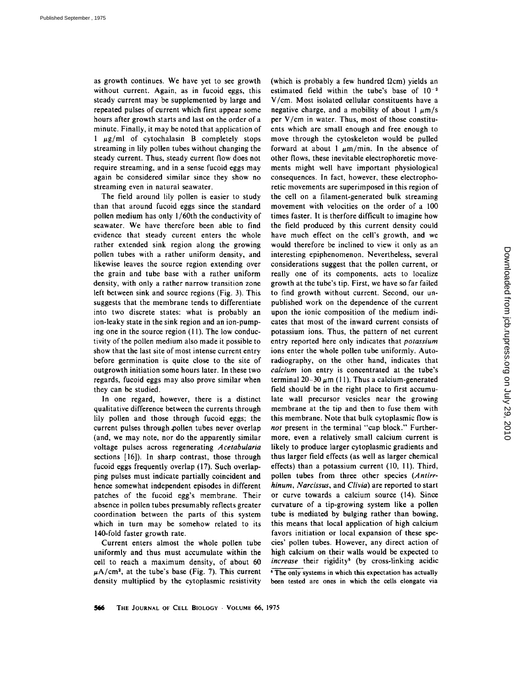as growth continues. We have yet to see growth without current. Again, as in fucoid eggs, this steady current may be supplemented by large and repeated pulses of current which first appear some hours after growth starts and last on the order of a minute. Finally, it may be noted that application of  $1 \mu g/ml$  of cytochalasin B completely stops streaming in lily pollen tubes without changing the steady current. Thus, steady current flow does not require streaming, and in a sense fucoid eggs may again be considered similar since they show no streaming even in natural seawater.

The field around lily pollen is easier to study than that around fucoid eggs since the standard pollen medium has only 1/60th the conductivity of seawater. We have therefore been able to find evidence that steady cureent enters the whole rather extended sink region along the growing pollen tubes with a rather uniform density, and likewise leaves the source region extending over the grain and tube base with a rather uniform density, with only a rather narrow transition zone left between sink and source regions (Fig. 3). This suggests that the membrane tends to differentiate into two discrete states: what is probably an ion-leaky state in the sink region and an ion-pumping one in the source region (11). The low conductivity of the pollen medium also made it possible to show that the last site of most intense current entry before germination is quite close to the site of outgrowth initiation some hours later. In these two regards, fucoid eggs may also prove similar when they can be studied.

In one regard, however, there is a distinct qualitative difference between the currents through lily pollen and those through fucoid eggs; the current pulses through.pollen tubes never overlap (and, we may note, nor do the apparently similar voltage pulses across regenerating *Acetabularia*  sections [16]). In sharp contrast, those through fucoid eggs frequently overlap (17). Such overlapping pulses must indicate partially coincident and hence somewhat independent episodes in different patches of the fucoid egg's membrane. Their absence in pollen tubes presumably reflects greater coordination between the parts of this system which in turn may be somehow related to its 140-fold faster growth rate.

Current enters almost the whole pollen tube uniformly and thus must accumulate within the cell to reach a maximum density, of about 60  $\mu A/cm^2$ , at the tube's base (Fig. 7). This current density multiplied by the cytoplasmic resistivity

(which is probably a few hundred  $\Omega$ cm) yields an estimated field within the tube's base of  $10^{-2}$ V/cm. Most isolated cellular constituents have a negative charge, and a mobility of about  $1 \mu m/s$ per V/cm in water. Thus, most of those constituents which are small enough and free enough to move through the cytoskeleton would be pulled forward at about 1  $\mu$ m/min. In the absence of other flows, these inevitable electrophoretic movements might well have important physiological consequences. In fact, however, these electrophoretic movements are superimposed in this region of the cell on a filament-generated bulk streaming movement with velocities on the order of a 100 times faster. It is therfore difficult to imagine how the field produced by this current density could have much effect on the cell's growth, and we would therefore be inclined to view it only as an interesting epiphenomenon. Nevertheless, several considerations suggest that the pollen current, or really one of its components, acts to localize growth at the tube's tip. First, we have so far failed to find growth without current. Second, our unpublished work on the dependence of the current upon the ionic composition of the medium indicates that most of the inward current consists of potassium ions. Thus, the pattern of net current entry reported here only indicates that *potassium*  ions enter the whole pollen tube uniformly. Autoradiography, on the other hand, indicates that *calcium* ion entry is concentrated at the tube's terminal  $20-30~\mu$ m (11). Thus a calcium-generated field should be in the right place to first accumulate wall precursor vesicles near the growing membrane at the tip and then to fuse them with this membrane. Note that bulk cytoplasmic flow is *not* present in the terminal "cap block." Furthermore, even a relatively small calcium current is likely to produce larger cytoplasmic gradients and thus larger field effects (as well as larger chemical effects) than a potassium current (10, 11). Third, pollen tubes from three other species *(Antirrhinum, Narcissus,* and *Clivia)* are reported to start or curve towards a calcium source (14). Since curvature of a tip-growing system like a pollen tube is mediated by bulging rather than bowing, this means that local application of high calcium favors initiation or local expansion of these species' pollen tubes. However, any direct action of high calcium on their walls would be expected to *increase* their rigidity<sup>5</sup> (by cross-linking acidic <sup>5</sup> The only systems in which this expectation has actually

been tested are ones in which the ceils elongate via